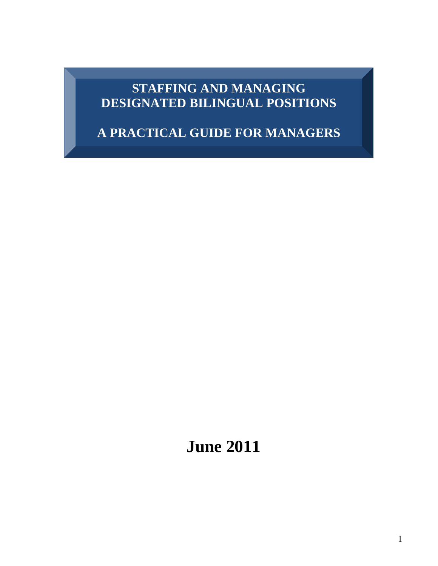# **STAFFING AND MANAGING DESIGNATED BILINGUAL POSITIONS**

**A PRACTICAL GUIDE FOR MANAGERS**

 **June 2011**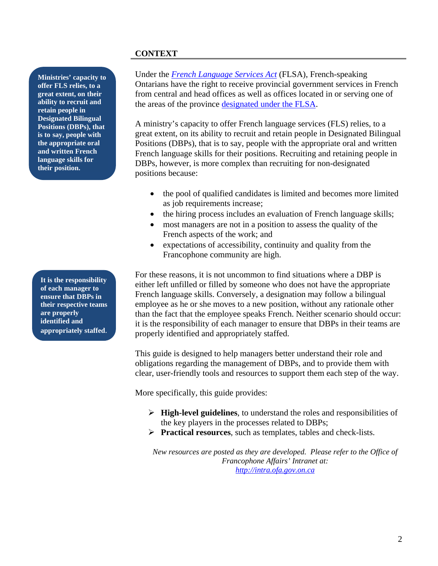# **CONTEXT**

**Ministries' capacity to offer FLS relies, to a great extent, on their ability to recruit and retain people in Designated Bilingual Positions (DBPs), that is to say, people with the appropriate oral and written French language skills for their position.**

**It is the responsibility of each manager to ensure that DBPs in their respective teams are properly identified and appropriately staffed**.

Under the *[French Language Services Act](http://www.e-laws.gov.on.ca/html/statutes/english/elaws_statutes_90f32_e.htm)* (FLSA), French-speaking Ontarians have the right to receive provincial government services in French from central and head offices as well as offices located in or serving one of the areas of the province [designated under the FLSA.](http://intra.ofa.gov.on.ca/Designationofregions.asp)

A ministry's capacity to offer French language services (FLS) relies, to a great extent, on its ability to recruit and retain people in Designated Bilingual Positions (DBPs), that is to say, people with the appropriate oral and written French language skills for their positions. Recruiting and retaining people in DBPs, however, is more complex than recruiting for non-designated positions because:

- the pool of qualified candidates is limited and becomes more limited as job requirements increase;
- the hiring process includes an evaluation of French language skills;
- most managers are not in a position to assess the quality of the French aspects of the work; and
- expectations of accessibility, continuity and quality from the Francophone community are high.

For these reasons, it is not uncommon to find situations where a DBP is either left unfilled or filled by someone who does not have the appropriate French language skills. Conversely, a designation may follow a bilingual employee as he or she moves to a new position, without any rationale other than the fact that the employee speaks French. Neither scenario should occur: it is the responsibility of each manager to ensure that DBPs in their teams are properly identified and appropriately staffed.

This guide is designed to help managers better understand their role and obligations regarding the management of DBPs, and to provide them with clear, user-friendly tools and resources to support them each step of the way.

More specifically, this guide provides:

- ¾ **High-level guidelines**, to understand the roles and responsibilities of the key players in the processes related to DBPs;
- ¾ **Practical resources**, such as templates, tables and check-lists.

*New resources are posted as they are developed. Please refer to the Office of Francophone Affairs' Intranet at: [http://intra.ofa.gov.on.ca](http://intra.ofa.gov.on.ca/)*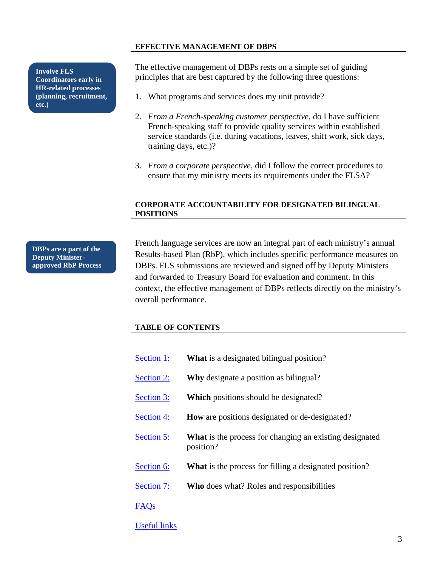#### **EFFECTIVE MANAGEMENT OF DBPS**

**Coordinators early in HR-related processes (planning, recruitment, etc.)**

The effective management of DBPs rests on a simple set of guiding **principles that are best captured by the following three questions:**<br>**Coordinators early in Integrations: Integrations: Integrations: Integrations: Integrations: Integrations:** 

- 1. What programs and services does my unit provide?
- 2. *From a French-speaking customer perspective*, do I have sufficient French-speaking staff to provide quality services within established service standards (i.e. during vacations, leaves, shift work, sick days, training days, etc.)?
- 3. *From a corporate perspective*, did I follow the correct procedures to ensure that my ministry meets its requirements under the FLSA?

#### **CORPORATE ACCOUNTABILITY FOR DESIGNATED BILINGUAL POSITIONS**

**DBPs are a part of the Deputy Ministerapproved RbP Process** French language services are now an integral part of each ministry's annual Results-based Plan (RbP), which includes specific performance measures on DBPs. FLS submissions are reviewed and signed off by Deputy Ministers and forwarded to Treasury Board for evaluation and comment. In this context, the effective management of DBPs reflects directly on the ministry's overall performance.

#### **TABLE OF CONTENTS**

| Section 1:          | <b>What</b> is a designated bilingual position?                             |  |  |
|---------------------|-----------------------------------------------------------------------------|--|--|
| Section 2:          | <b>Why</b> designate a position as bilingual?                               |  |  |
| Section 3:          | <b>Which</b> positions should be designated?                                |  |  |
| Section 4:          | How are positions designated or de-designated?                              |  |  |
| Section 5:          | <b>What</b> is the process for changing an existing designated<br>position? |  |  |
| Section 6:          | What is the process for filling a designated position?                      |  |  |
| Section 7:          | <b>Who</b> does what? Roles and responsibilities                            |  |  |
| <b>FAQs</b>         |                                                                             |  |  |
| <b>Useful links</b> |                                                                             |  |  |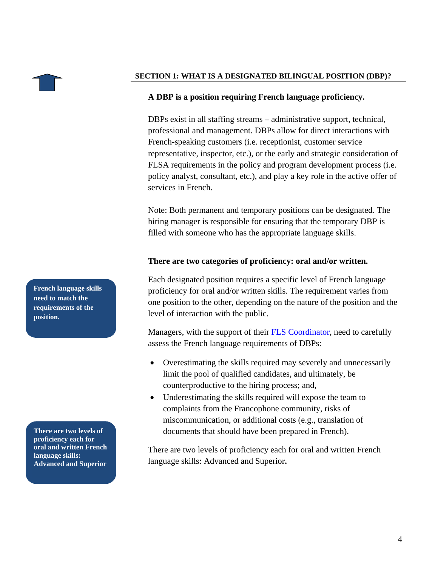<span id="page-3-0"></span>

#### **SECTION 1: WHAT IS A DESIGNATED BILINGUAL POSITION (DBP)?**

#### **A DBP is a position requiring French language proficiency.**

DBPs exist in all staffing streams – administrative support, technical, professional and management. DBPs allow for direct interactions with French-speaking customers (i.e. receptionist, customer service representative, inspector, etc.), or the early and strategic consideration of FLSA requirements in the policy and program development process (i.e. policy analyst, consultant, etc.), and play a key role in the active offer of services in French.

Note: Both permanent and temporary positions can be designated. The hiring manager is responsible for ensuring that the temporary DBP is filled with someone who has the appropriate language skills.

#### **There are two categories of proficiency: oral and/or written.**

Each designated position requires a specific level of French language proficiency for oral and/or written skills. The requirement varies from one position to the other, depending on the nature of the position and the level of interaction with the public.

Managers, with the support of their **FLS Coordinator**, need to carefully assess the French language requirements of DBPs:

- Overestimating the skills required may severely and unnecessarily limit the pool of qualified candidates, and ultimately, be counterproductive to the hiring process; and,
- Underestimating the skills required will expose the team to complaints from the Francophone community, risks of miscommunication, or additional costs (e.g., translation of **There are two levels of <b>d**ocuments that should have been prepared in French).

There are two levels of proficiency each for oral and written French language skills: Advanced and Superior**.** 

**French language skills need to match the requirements of the position.** 

**proficiency each for oral and written French language skills: Advanced and Superior**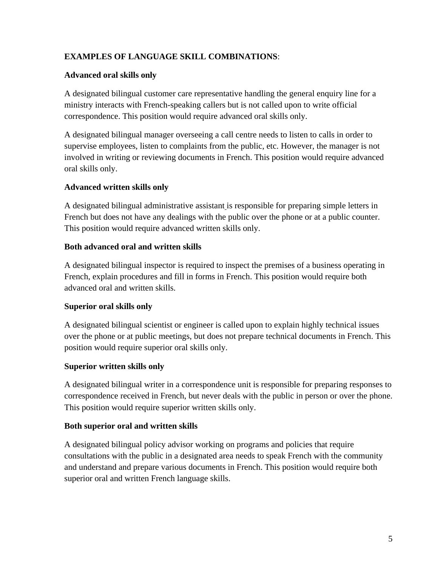# **EXAMPLES OF LANGUAGE SKILL COMBINATIONS**:

# **Advanced oral skills only**

A designated bilingual customer care representative handling the general enquiry line for a ministry interacts with French-speaking callers but is not called upon to write official correspondence. This position would require advanced oral skills only.

A designated bilingual manager overseeing a call centre needs to listen to calls in order to supervise employees, listen to complaints from the public, etc. However, the manager is not involved in writing or reviewing documents in French. This position would require advanced oral skills only.

# **Advanced written skills only**

A designated bilingual administrative assistant is responsible for preparing simple letters in French but does not have any dealings with the public over the phone or at a public counter. This position would require advanced written skills only.

# **Both advanced oral and written skills**

A designated bilingual inspector is required to inspect the premises of a business operating in French, explain procedures and fill in forms in French. This position would require both advanced oral and written skills.

# **Superior oral skills only**

A designated bilingual scientist or engineer is called upon to explain highly technical issues over the phone or at public meetings, but does not prepare technical documents in French. This position would require superior oral skills only.

# **Superior written skills only**

A designated bilingual writer in a correspondence unit is responsible for preparing responses to correspondence received in French, but never deals with the public in person or over the phone. This position would require superior written skills only.

# **Both superior oral and written skills**

A designated bilingual policy advisor working on programs and policies that require consultations with the public in a designated area needs to speak French with the community and understand and prepare various documents in French. This position would require both superior oral and written French language skills.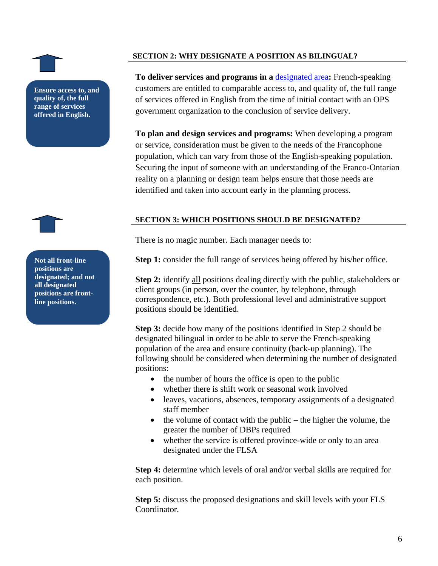<span id="page-5-0"></span>**Ensure access to, and quality of, the full range of services offered in English.** 

### **SECTION 2: WHY DESIGNATE A POSITION AS BILINGUAL?**

**To deliver services and programs in a** [designated area](http://www.ofa.gov.on.ca/en/flsa-mapdesig.html)**:** French-speaking customers are entitled to comparable access to, and quality of, the full range of services offered in English from the time of initial contact with an OPS government organization to the conclusion of service delivery.

**To plan and design services and programs:** When developing a program or service, consideration must be given to the needs of the Francophone population, which can vary from those of the English-speaking population. Securing the input of someone with an understanding of the Franco-Ontarian reality on a planning or design team helps ensure that those needs are identified and taken into account early in the planning process.

### **SECTION 3: WHICH POSITIONS SHOULD BE DESIGNATED?**

There is no magic number. Each manager needs to:

Not all front-line Step 1: consider the full range of services being offered by his/her office.

**Step 2:** identify all positions dealing directly with the public, stakeholders or client groups (in person, over the counter, by telephone, through correspondence, etc.). Both professional level and administrative support positions should be identified.

**Step 3:** decide how many of the positions identified in Step 2 should be designated bilingual in order to be able to serve the French-speaking population of the area and ensure continuity (back-up planning). The following should be considered when determining the number of designated positions:

- the number of hours the office is open to the public
- whether there is shift work or seasonal work involved
- leaves, vacations, absences, temporary assignments of a designated staff member
- the volume of contact with the public the higher the volume, the greater the number of DBPs required
- whether the service is offered province-wide or only to an area designated under the FLSA

**Step 4:** determine which levels of oral and/or verbal skills are required for each position.

**Step 5:** discuss the proposed designations and skill levels with your FLS Coordinator.

**positions are designated; and not all designated positions are frontline positions.**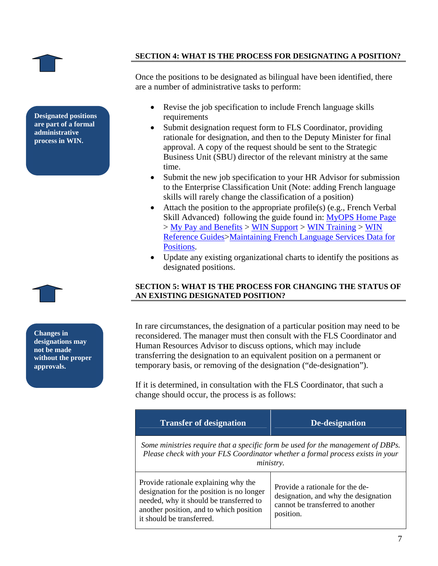<span id="page-6-0"></span>

**Designated positions**<br>are part of a formal **administrative process in WIN.** 

**SECTION 4: WHAT IS THE PROCESS FOR DESIGNATING A POSITION?**

Once the positions to be designated as bilingual have been identified, there are a number of administrative tasks to perform:

- Revise the job specification to include French language skills
- Submit designation request form to FLS Coordinator, providing rationale for designation, and then to the Deputy Minister for final approval. A copy of the request should be sent to the Strategic Business Unit (SBU) director of the relevant ministry at the same time.
- Submit the new job specification to your HR Advisor for submission to the Enterprise Classification Unit (Note: adding French language skills will rarely change the classification of a position)
- Attach the position to the appropriate profile(s) (e.g., French Verbal Skill Advanced) following the guide found in: [MyOPS Home Page](http://intra.ops.myops.gov.on.ca/cms/tiles.nsf/vwReadPagesByRefId_Content/ops2006.03.16.16.49.59.TLS_page?OpenDocument) > [My Pay and Benefits](http://intra.ops.myops.gov.on.ca/cms/tiles.nsf/vwReadPagesByRefId_Content/epb2006.06.20.18.54.51.UVC_page?Opendocument) > [WIN Support](http://intra.ops.myops.gov.on.ca/cms/tiles.nsf/vwReadPagesByRefId_Content/epb2006.06.20.18.54.51.UVC_page?Opendocument) > [WIN Training](http://intra.ops.myops.gov.on.ca/cms/tiles.nsf/(vwReadPagesByRefId_Content)/win2010.05.12.13.47.44.NVC_page?open) > [WIN](http://intra.ops.myops.gov.on.ca/cms/tiles.nsf/vwReadPagesByRefID_Content/win2010.07.07.09.41.03.J37_page?Open)  [Reference Guides>](http://intra.ops.myops.gov.on.ca/cms/tiles.nsf/vwReadPagesByRefID_Content/win2010.07.07.09.41.03.J37_page?Open)[Maintaining French Language Services Data for](http://intra.ops.myops.gov.on.ca/cms/tiles.nsf/(vwReadResourcesByRefId_Content)/win2010.09.07.11.13.39.KV4_res/$File/hr_fls.pdf)  [Positions](http://intra.ops.myops.gov.on.ca/cms/tiles.nsf/(vwReadResourcesByRefId_Content)/win2010.09.07.11.13.39.KV4_res/$File/hr_fls.pdf).
- Update any existing organizational charts to identify the positions as designated positions.

#### **SECTION 5: WHAT IS THE PROCESS FOR CHANGING THE STATUS OF AN EXISTING DESIGNATED POSITION?**

In rare circumstances, the designation of a particular position may need to be reconsidered. The manager must then consult with the FLS Coordinator and Human Resources Advisor to discuss options, which may include transferring the designation to an equivalent position on a permanent or temporary basis, or removing of the designation ("de-designation").

If it is determined, in consultation with the FLS Coordinator, that such a change should occur, the process is as follows:

| <b>Transfer of designation</b>                                                                                                                                                                       | De-designation                                                                                                           |  |  |
|------------------------------------------------------------------------------------------------------------------------------------------------------------------------------------------------------|--------------------------------------------------------------------------------------------------------------------------|--|--|
| Some ministries require that a specific form be used for the management of DBPs.<br>Please check with your FLS Coordinator whether a formal process exists in your<br><i>ministry.</i>               |                                                                                                                          |  |  |
| Provide rationale explaining why the<br>designation for the position is no longer<br>needed, why it should be transferred to<br>another position, and to which position<br>it should be transferred. | Provide a rationale for the de-<br>designation, and why the designation<br>cannot be transferred to another<br>position. |  |  |

**Changes in designations may not be made** 

**without the proper** 

**approvals.**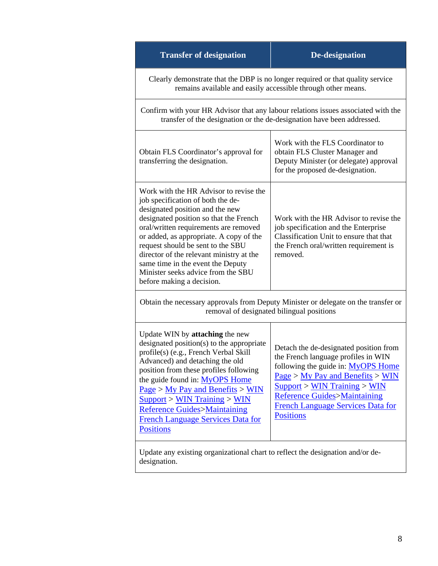| <b>Transfer of designation</b>                                                                                                                                                                                                                                                                                                                                                                                                        | <b>De-designation</b>                                                                                                                                                                                                                                                                               |  |  |
|---------------------------------------------------------------------------------------------------------------------------------------------------------------------------------------------------------------------------------------------------------------------------------------------------------------------------------------------------------------------------------------------------------------------------------------|-----------------------------------------------------------------------------------------------------------------------------------------------------------------------------------------------------------------------------------------------------------------------------------------------------|--|--|
| Clearly demonstrate that the DBP is no longer required or that quality service<br>remains available and easily accessible through other means.                                                                                                                                                                                                                                                                                        |                                                                                                                                                                                                                                                                                                     |  |  |
| Confirm with your HR Advisor that any labour relations issues associated with the<br>transfer of the designation or the de-designation have been addressed.                                                                                                                                                                                                                                                                           |                                                                                                                                                                                                                                                                                                     |  |  |
| Obtain FLS Coordinator's approval for<br>transferring the designation.                                                                                                                                                                                                                                                                                                                                                                | Work with the FLS Coordinator to<br>obtain FLS Cluster Manager and<br>Deputy Minister (or delegate) approval<br>for the proposed de-designation.                                                                                                                                                    |  |  |
| Work with the HR Advisor to revise the<br>job specification of both the de-<br>designated position and the new<br>designated position so that the French<br>oral/written requirements are removed<br>or added, as appropriate. A copy of the<br>request should be sent to the SBU<br>director of the relevant ministry at the<br>same time in the event the Deputy<br>Minister seeks advice from the SBU<br>before making a decision. | Work with the HR Advisor to revise the<br>job specification and the Enterprise<br>Classification Unit to ensure that that<br>the French oral/written requirement is<br>removed.                                                                                                                     |  |  |
| Obtain the necessary approvals from Deputy Minister or delegate on the transfer or<br>removal of designated bilingual positions                                                                                                                                                                                                                                                                                                       |                                                                                                                                                                                                                                                                                                     |  |  |
| Update WIN by attaching the new<br>designated position(s) to the appropriate<br>profile(s) (e.g., French Verbal Skill<br>Advanced) and detaching the old<br>position from these profiles following<br>the guide found in: MyOPS Home<br>$Page > My$ Pay and Benefits > WIN<br>Support > WIN Training > WIN<br><b>Reference Guides&gt;Maintaining</b><br><b>French Language Services Data for</b><br><b>Positions</b>                  | Detach the de-designated position from<br>the French language profiles in WIN<br>following the guide in: MyOPS Home<br>$Page > My$ Pay and Benefits > WIN<br>Support > WIN Training > WIN<br><b>Reference Guides&gt;Maintaining</b><br><b>French Language Services Data for</b><br><b>Positions</b> |  |  |
| Update any existing organizational chart to reflect the designation and/or de-<br>designation                                                                                                                                                                                                                                                                                                                                         |                                                                                                                                                                                                                                                                                                     |  |  |

designation.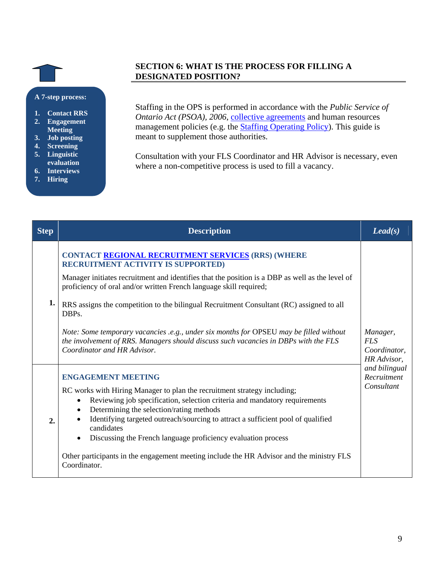#### <span id="page-8-0"></span>**A 7-step process:**

- **1. Contact RRS 2. Engagement Meeting**
- **3. Job posting**
- **4. Screening**
- **5. Linguistic**
- **evaluation**
- **6. Interviews**
- **7. Hiring**

# **SECTION 6: WHAT IS THE PROCESS FOR FILLING A DESIGNATED POSITION?**

Staffing in the OPS is performed in accordance with the *Public Service of Ontario Act (PSOA), 2006, [collective agreements](http://intra.hropenweb.gov.on.ca/agreements/main.htm) and human resources* management policies (e.g. the [Staffing Operating Policy](http://intra.ops.myops.gov.on.ca/cms/tiles.nsf/(vwReadResourcesByRefId_Content)/cpd2008.10.17.15.47.13.R83_res/$file/Staffing2007-final.pdf)). This guide is meant to supplement those authorities.

Consultation with your FLS Coordinator and HR Advisor is necessary, even where a non-competitive process is used to fill a vacancy.

| <b>Step</b>      | <b>Description</b>                                                                                                                                                                                                                                                                                                                                                                                                                                                                                                                                                                            | $\text{Lead}(s)$                                      |
|------------------|-----------------------------------------------------------------------------------------------------------------------------------------------------------------------------------------------------------------------------------------------------------------------------------------------------------------------------------------------------------------------------------------------------------------------------------------------------------------------------------------------------------------------------------------------------------------------------------------------|-------------------------------------------------------|
| 1.               | CONTACT REGIONAL RECRUITMENT SERVICES (RRS) (WHERE<br><b>RECRUITMENT ACTIVITY IS SUPPORTED)</b><br>Manager initiates recruitment and identifies that the position is a DBP as well as the level of<br>proficiency of oral and/or written French language skill required;<br>RRS assigns the competition to the bilingual Recruitment Consultant (RC) assigned to all<br>DBPs.<br>Note: Some temporary vacancies .e.g., under six months for OPSEU may be filled without<br>the involvement of RRS. Managers should discuss such vacancies in DBPs with the FLS<br>Coordinator and HR Advisor. | Manager,<br><b>FLS</b><br>Coordinator,<br>HR Advisor, |
| $\overline{2}$ . | <b>ENGAGEMENT MEETING</b><br>RC works with Hiring Manager to plan the recruitment strategy including;<br>Reviewing job specification, selection criteria and mandatory requirements<br>$\bullet$<br>Determining the selection/rating methods<br>Identifying targeted outreach/sourcing to attract a sufficient pool of qualified<br>candidates<br>Discussing the French language proficiency evaluation process<br>Other participants in the engagement meeting include the HR Advisor and the ministry FLS<br>Coordinator.                                                                   | and bilingual<br>Recruitment<br>Consultant            |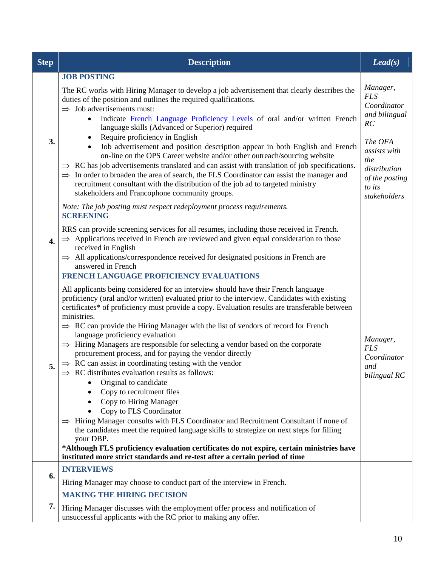| <b>Step</b> | <b>Description</b>                                                                                                                                                                                                                                                                                                                                                                                                                                                                                                                                                                                                                                                                                                                                                                                                                                                                                                                                                                                                                                                                                                                                                                                                                                                                            |                                                                                                                                                            |
|-------------|-----------------------------------------------------------------------------------------------------------------------------------------------------------------------------------------------------------------------------------------------------------------------------------------------------------------------------------------------------------------------------------------------------------------------------------------------------------------------------------------------------------------------------------------------------------------------------------------------------------------------------------------------------------------------------------------------------------------------------------------------------------------------------------------------------------------------------------------------------------------------------------------------------------------------------------------------------------------------------------------------------------------------------------------------------------------------------------------------------------------------------------------------------------------------------------------------------------------------------------------------------------------------------------------------|------------------------------------------------------------------------------------------------------------------------------------------------------------|
| 3.          | <b>JOB POSTING</b><br>The RC works with Hiring Manager to develop a job advertisement that clearly describes the<br>duties of the position and outlines the required qualifications.<br>$\Rightarrow$ Job advertisements must:<br>Indicate French Language Proficiency Levels of oral and/or written French<br>$\bullet$<br>language skills (Advanced or Superior) required<br>Require proficiency in English<br>٠<br>Job advertisement and position description appear in both English and French<br>on-line on the OPS Career website and/or other outreach/sourcing website<br>$\Rightarrow$ RC has job advertisements translated and can assist with translation of job specifications.<br>$\Rightarrow$ In order to broaden the area of search, the FLS Coordinator can assist the manager and<br>recruitment consultant with the distribution of the job ad to targeted ministry<br>stakeholders and Francophone community groups.<br>Note: The job posting must respect redeployment process requirements.                                                                                                                                                                                                                                                                             | Manager,<br><b>FLS</b><br>Coordinator<br>and bilingual<br>RC<br>The OFA<br>assists with<br>the<br>distribution<br>of the posting<br>to its<br>stakeholders |
| 4.          | <b>SCREENING</b><br>RRS can provide screening services for all resumes, including those received in French.<br>$\Rightarrow$ Applications received in French are reviewed and given equal consideration to those<br>received in English<br>$\Rightarrow$ All applications/correspondence received for designated positions in French are<br>answered in French                                                                                                                                                                                                                                                                                                                                                                                                                                                                                                                                                                                                                                                                                                                                                                                                                                                                                                                                |                                                                                                                                                            |
| 5.          | <b>FRENCH LANGUAGE PROFICIENCY EVALUATIONS</b><br>All applicants being considered for an interview should have their French language<br>proficiency (oral and/or written) evaluated prior to the interview. Candidates with existing<br>certificates* of proficiency must provide a copy. Evaluation results are transferable between<br>ministries.<br>$\Rightarrow$ RC can provide the Hiring Manager with the list of vendors of record for French<br>language proficiency evaluation<br>$\Rightarrow$ Hiring Managers are responsible for selecting a vendor based on the corporate<br>procurement process, and for paying the vendor directly<br>$\Rightarrow$ RC can assist in coordinating testing with the vendor<br>RC distributes evaluation results as follows:<br>Original to candidate<br>Copy to recruitment files<br>Copy to Hiring Manager<br>$\bullet$<br>Copy to FLS Coordinator<br>Hiring Manager consults with FLS Coordinator and Recruitment Consultant if none of<br>$\Rightarrow$<br>the candidates meet the required language skills to strategize on next steps for filling<br>your DBP.<br>*Although FLS proficiency evaluation certificates do not expire, certain ministries have<br>instituted more strict standards and re-test after a certain period of time | Manager,<br><b>FLS</b><br>Coordinator<br>and<br>bilingual RC                                                                                               |
| 6.          | <b>INTERVIEWS</b><br>Hiring Manager may choose to conduct part of the interview in French.                                                                                                                                                                                                                                                                                                                                                                                                                                                                                                                                                                                                                                                                                                                                                                                                                                                                                                                                                                                                                                                                                                                                                                                                    |                                                                                                                                                            |
| 7.          | <b>MAKING THE HIRING DECISION</b><br>Hiring Manager discusses with the employment offer process and notification of<br>unsuccessful applicants with the RC prior to making any offer.                                                                                                                                                                                                                                                                                                                                                                                                                                                                                                                                                                                                                                                                                                                                                                                                                                                                                                                                                                                                                                                                                                         |                                                                                                                                                            |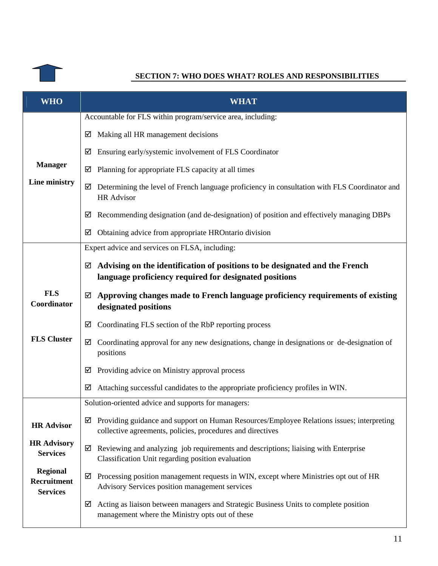<span id="page-10-0"></span>

# **SECTION 7: WHO DOES WHAT? ROLES AND RESPONSIBILITIES**

| <b>WHO</b>                                        | <b>WHAT</b>                                                                                                                                                  |  |  |
|---------------------------------------------------|--------------------------------------------------------------------------------------------------------------------------------------------------------------|--|--|
|                                                   | Accountable for FLS within program/service area, including:                                                                                                  |  |  |
|                                                   | Making all HR management decisions<br>☑                                                                                                                      |  |  |
|                                                   | Ensuring early/systemic involvement of FLS Coordinator<br>☑                                                                                                  |  |  |
| <b>Manager</b>                                    | Planning for appropriate FLS capacity at all times<br>☑                                                                                                      |  |  |
| Line ministry                                     | Determining the level of French language proficiency in consultation with FLS Coordinator and<br>☑<br>HR Advisor                                             |  |  |
|                                                   | Recommending designation (and de-designation) of position and effectively managing DBPs<br>☑                                                                 |  |  |
|                                                   | Obtaining advice from appropriate HROntario division<br>☑                                                                                                    |  |  |
|                                                   | Expert advice and services on FLSA, including:                                                                                                               |  |  |
|                                                   | Advising on the identification of positions to be designated and the French<br>☑<br>language proficiency required for designated positions                   |  |  |
| <b>FLS</b><br>Coordinator                         | Approving changes made to French language proficiency requirements of existing<br>☑<br>designated positions                                                  |  |  |
|                                                   | Coordinating FLS section of the RbP reporting process<br>☑                                                                                                   |  |  |
| <b>FLS Cluster</b>                                | Coordinating approval for any new designations, change in designations or de-designation of<br>☑<br>positions                                                |  |  |
|                                                   | Providing advice on Ministry approval process<br>☑                                                                                                           |  |  |
|                                                   | Attaching successful candidates to the appropriate proficiency profiles in WIN.<br>☑                                                                         |  |  |
|                                                   | Solution-oriented advice and supports for managers:                                                                                                          |  |  |
| <b>HR Advisor</b>                                 | Providing guidance and support on Human Resources/Employee Relations issues; interpreting<br>☑<br>collective agreements, policies, procedures and directives |  |  |
| <b>HR Advisory</b><br><b>Services</b>             | Reviewing and analyzing job requirements and descriptions; liaising with Enterprise<br>☑<br>Classification Unit regarding position evaluation                |  |  |
| <b>Regional</b><br>Recruitment<br><b>Services</b> | Processing position management requests in WIN, except where Ministries opt out of HR<br>☑<br>Advisory Services position management services                 |  |  |
|                                                   | Acting as liaison between managers and Strategic Business Units to complete position<br>☑<br>management where the Ministry opts out of these                 |  |  |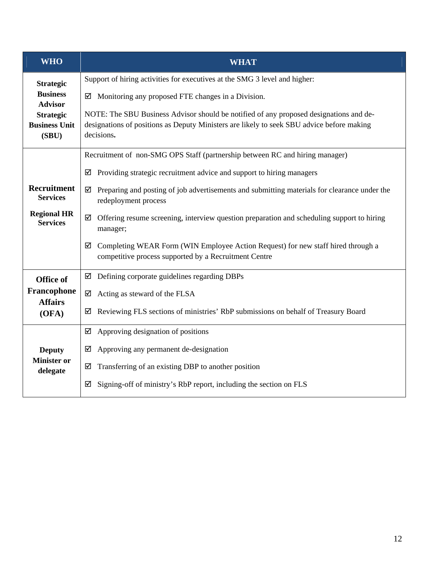| <b>WHO</b>                                        | <b>WHAT</b>                                                                                                                                                                                       |  |  |
|---------------------------------------------------|---------------------------------------------------------------------------------------------------------------------------------------------------------------------------------------------------|--|--|
| <b>Strategic</b>                                  | Support of hiring activities for executives at the SMG 3 level and higher:                                                                                                                        |  |  |
| <b>Business</b><br><b>Advisor</b>                 | Monitoring any proposed FTE changes in a Division.<br>⊻                                                                                                                                           |  |  |
| <b>Strategic</b><br><b>Business Unit</b><br>(SBU) | NOTE: The SBU Business Advisor should be notified of any proposed designations and de-<br>designations of positions as Deputy Ministers are likely to seek SBU advice before making<br>decisions. |  |  |
|                                                   | Recruitment of non-SMG OPS Staff (partnership between RC and hiring manager)                                                                                                                      |  |  |
|                                                   | Providing strategic recruitment advice and support to hiring managers<br>⊻                                                                                                                        |  |  |
| <b>Recruitment</b><br><b>Services</b>             | Preparing and posting of job advertisements and submitting materials for clearance under the<br>☑<br>redeployment process                                                                         |  |  |
| <b>Regional HR</b><br><b>Services</b>             | Offering resume screening, interview question preparation and scheduling support to hiring<br>☑<br>manager;                                                                                       |  |  |
|                                                   | Completing WEAR Form (WIN Employee Action Request) for new staff hired through a<br>☑<br>competitive process supported by a Recruitment Centre                                                    |  |  |
| <b>Office of</b>                                  | Defining corporate guidelines regarding DBPs<br>☑                                                                                                                                                 |  |  |
| Francophone<br><b>Affairs</b>                     | Acting as steward of the FLSA<br>☑                                                                                                                                                                |  |  |
| (OFA)                                             | Reviewing FLS sections of ministries' RbP submissions on behalf of Treasury Board<br>☑                                                                                                            |  |  |
|                                                   | ☑<br>Approving designation of positions                                                                                                                                                           |  |  |
| <b>Deputy</b>                                     | Approving any permanent de-designation<br>☑                                                                                                                                                       |  |  |
| <b>Minister or</b><br>delegate                    | Transferring of an existing DBP to another position<br>☑                                                                                                                                          |  |  |
|                                                   | Signing-off of ministry's RbP report, including the section on FLS<br>☑                                                                                                                           |  |  |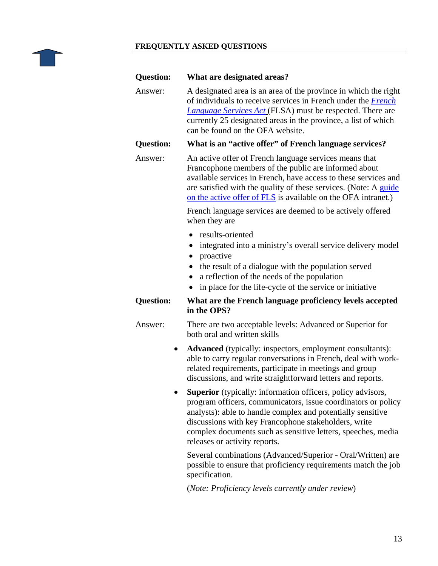#### <span id="page-12-0"></span>**FREQUENTLY ASKED QUESTIONS**

| Question:                                                                                                                                                                                                                                                                                                             | What are designated areas?                                                                                                                                                                                                                                                                                             |  |  |
|-----------------------------------------------------------------------------------------------------------------------------------------------------------------------------------------------------------------------------------------------------------------------------------------------------------------------|------------------------------------------------------------------------------------------------------------------------------------------------------------------------------------------------------------------------------------------------------------------------------------------------------------------------|--|--|
| Answer:<br>A designated area is an area of the province in which the right<br>of individuals to receive services in French under the French<br><b>Language Services Act (FLSA)</b> must be respected. There are<br>currently 25 designated areas in the province, a list of which<br>can be found on the OFA website. |                                                                                                                                                                                                                                                                                                                        |  |  |
| <b>Question:</b>                                                                                                                                                                                                                                                                                                      | What is an "active offer" of French language services?                                                                                                                                                                                                                                                                 |  |  |
| Answer:                                                                                                                                                                                                                                                                                                               | An active offer of French language services means that<br>Francophone members of the public are informed about<br>available services in French, have access to these services and<br>are satisfied with the quality of these services. (Note: A guide<br>on the active offer of FLS is available on the OFA intranet.) |  |  |
|                                                                                                                                                                                                                                                                                                                       | French language services are deemed to be actively offered<br>when they are                                                                                                                                                                                                                                            |  |  |
|                                                                                                                                                                                                                                                                                                                       | results-oriented<br>integrated into a ministry's overall service delivery model<br>proactive<br>the result of a dialogue with the population served<br>a reflection of the needs of the population<br>$\bullet$<br>in place for the life-cycle of the service or initiative                                            |  |  |
| <b>Question:</b>                                                                                                                                                                                                                                                                                                      | What are the French language proficiency levels accepted<br>in the OPS?                                                                                                                                                                                                                                                |  |  |
| Answer:                                                                                                                                                                                                                                                                                                               | There are two acceptable levels: Advanced or Superior for<br>both oral and written skills                                                                                                                                                                                                                              |  |  |
|                                                                                                                                                                                                                                                                                                                       | <b>Advanced</b> (typically: inspectors, employment consultants):<br>able to carry regular conversations in French, deal with work-<br>related requirements, participate in meetings and group<br>discussions, and write straightforward letters and reports.                                                           |  |  |
|                                                                                                                                                                                                                                                                                                                       | <b>Superior</b> (typically: information officers, policy advisors,<br>program officers, communicators, issue coordinators or policy<br>analysts): able to handle complex and potentially sensitive                                                                                                                     |  |  |

discussions with key Francophone stakeholders, write complex documents such as sensitive letters, speeches, media releases or activity reports.

Several combinations (Advanced/Superior - Oral/Written) are possible to ensure that proficiency requirements match the job specification.

(*Note: Proficiency levels currently under review*)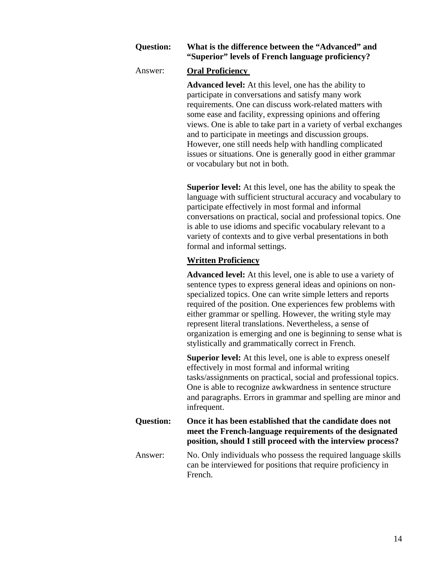# **Question: What is the difference between the "Advanced" and "Superior" levels of French language proficiency?**

# Answer: **Oral Proficiency**

**Advanced level:** At this level, one has the ability to participate in conversations and satisfy many work requirements. One can discuss work-related matters with some ease and facility, expressing opinions and offering views. One is able to take part in a variety of verbal exchanges and to participate in meetings and discussion groups. However, one still needs help with handling complicated issues or situations. One is generally good in either grammar or vocabulary but not in both.

**Superior level:** At this level, one has the ability to speak the language with sufficient structural accuracy and vocabulary to participate effectively in most formal and informal conversations on practical, social and professional topics. One is able to use idioms and specific vocabulary relevant to a variety of contexts and to give verbal presentations in both formal and informal settings.

# **Written Proficiency**

**Advanced level:** At this level, one is able to use a variety of sentence types to express general ideas and opinions on nonspecialized topics. One can write simple letters and reports required of the position. One experiences few problems with either grammar or spelling. However, the writing style may represent literal translations. Nevertheless, a sense of organization is emerging and one is beginning to sense what is stylistically and grammatically correct in French.

**Superior level:** At this level, one is able to express oneself effectively in most formal and informal writing tasks/assignments on practical, social and professional topics. One is able to recognize awkwardness in sentence structure and paragraphs. Errors in grammar and spelling are minor and infrequent.

**Question: Once it has been established that the candidate does not meet the French-language requirements of the designated position, should I still proceed with the interview process?** 

Answer: No. Only individuals who possess the required language skills can be interviewed for positions that require proficiency in French.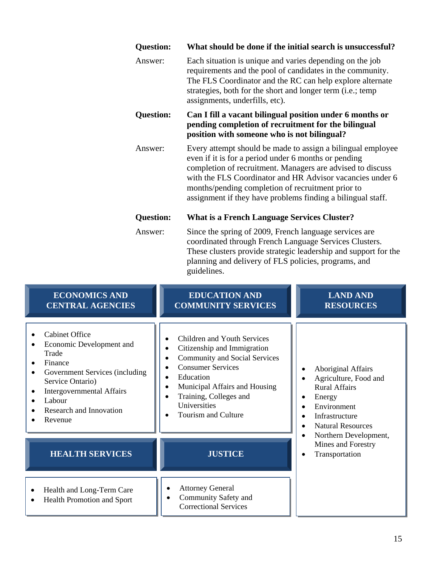| <b>Question:</b> | What should be done if the initial search is unsuccessful?                                                                                                                                                                                                                                                                                                                                                                 |  |
|------------------|----------------------------------------------------------------------------------------------------------------------------------------------------------------------------------------------------------------------------------------------------------------------------------------------------------------------------------------------------------------------------------------------------------------------------|--|
| Answer:          | Each situation is unique and varies depending on the job<br>requirements and the pool of candidates in the community.<br>The FLS Coordinator and the RC can help explore alternate<br>strategies, both for the short and longer term (i.e.; temp<br>assignments, underfills, etc).                                                                                                                                         |  |
| <b>Question:</b> | Can I fill a vacant bilingual position under 6 months or<br>pending completion of recruitment for the bilingual<br>position with someone who is not bilingual?                                                                                                                                                                                                                                                             |  |
| Answer:          | Every attempt should be made to assign a bilingual employee<br>even if it is for a period under 6 months or pending<br>completion of recruitment. Managers are advised to discuss<br>with the FLS Coordinator and HR Advisor vacancies under 6<br>months/pending completion of recruitment prior to<br>assignment if they have problems finding a bilingual staff.                                                         |  |
| <b>Question:</b> | <b>What is a French Language Services Cluster?</b>                                                                                                                                                                                                                                                                                                                                                                         |  |
| Answer:          | Since the spring of 2009, French language services are<br>$\overline{111}$ $\overline{11}$ $\overline{11}$ $\overline{11}$ $\overline{11}$ $\overline{11}$ $\overline{11}$ $\overline{11}$ $\overline{11}$ $\overline{11}$ $\overline{11}$ $\overline{11}$ $\overline{11}$ $\overline{11}$ $\overline{11}$ $\overline{11}$ $\overline{11}$ $\overline{11}$ $\overline{11}$ $\overline{11}$ $\overline{11}$ $\overline{11}$ |  |

coordinated through French Language Services Clusters. These clusters provide strategic leadership and support for the planning and delivery of FLS policies, programs, and guidelines.

| <b>ECONOMICS AND</b><br><b>CENTRAL AGENCIES</b>                                                                                                                                                                 | <b>EDUCATION AND</b><br><b>COMMUNITY SERVICES</b>                                                                                                                                                                                             | <b>LAND AND</b><br><b>RESOURCES</b>                                                                                                                                         |
|-----------------------------------------------------------------------------------------------------------------------------------------------------------------------------------------------------------------|-----------------------------------------------------------------------------------------------------------------------------------------------------------------------------------------------------------------------------------------------|-----------------------------------------------------------------------------------------------------------------------------------------------------------------------------|
| <b>Cabinet Office</b><br>Economic Development and<br>Trade<br>Finance<br>Government Services (including<br>Service Ontario)<br><b>Intergovernmental Affairs</b><br>Labour<br>Research and Innovation<br>Revenue | Children and Youth Services<br>Citizenship and Immigration<br><b>Community and Social Services</b><br><b>Consumer Services</b><br>Education<br>Municipal Affairs and Housing<br>Training, Colleges and<br>Universities<br>Tourism and Culture | <b>Aboriginal Affairs</b><br>Agriculture, Food and<br><b>Rural Affairs</b><br>Energy<br>$\bullet$<br>Environment<br>Infrastructure<br>$\bullet$<br><b>Natural Resources</b> |
| <b>HEALTH SERVICES</b>                                                                                                                                                                                          | <b>JUSTICE</b>                                                                                                                                                                                                                                | Northern Development,<br>Mines and Forestry<br>Transportation<br>$\bullet$                                                                                                  |
| Health and Long-Term Care<br><b>Health Promotion and Sport</b>                                                                                                                                                  | <b>Attorney General</b><br>Community Safety and<br><b>Correctional Services</b>                                                                                                                                                               |                                                                                                                                                                             |